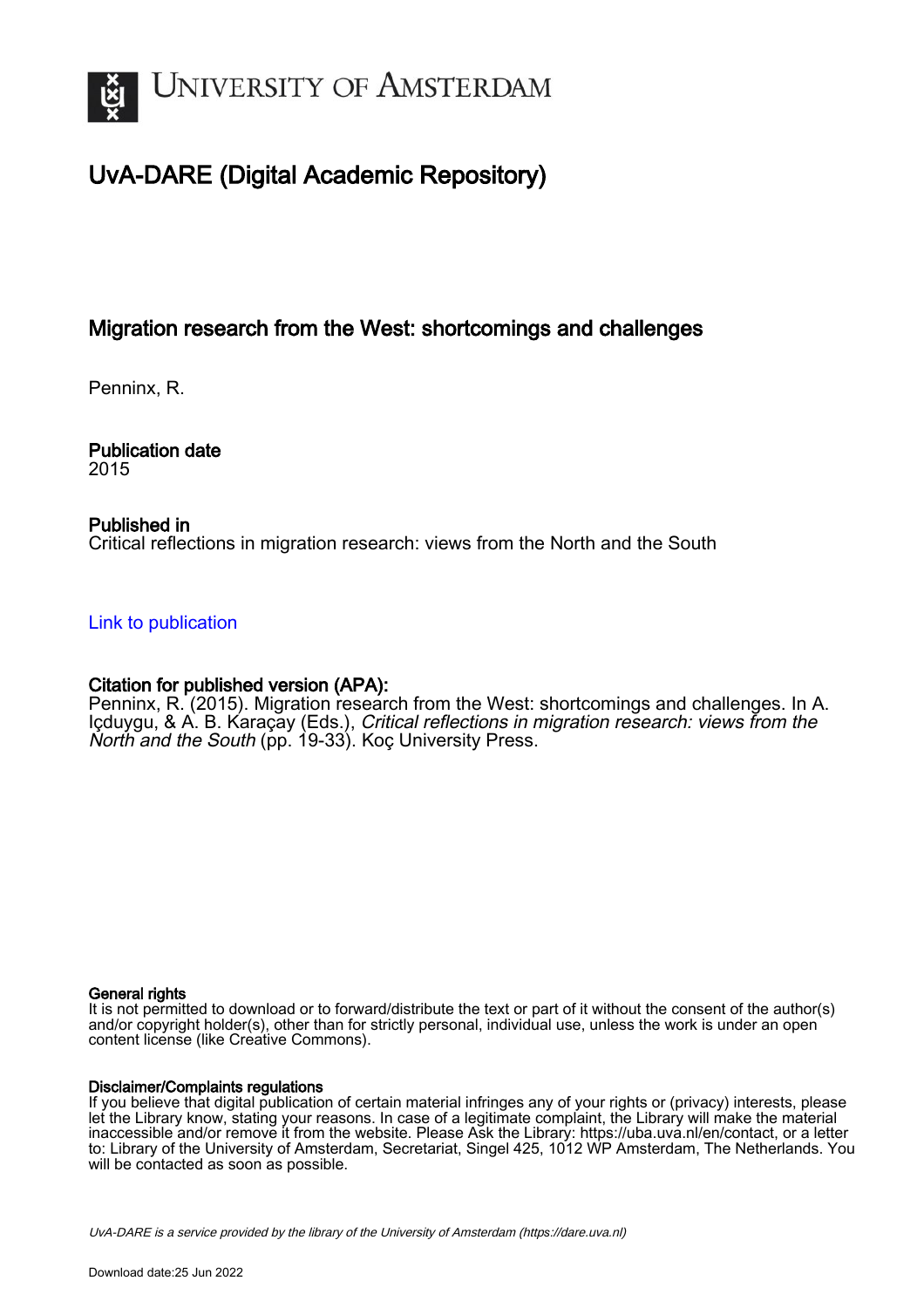

# UvA-DARE (Digital Academic Repository)

## Migration research from the West: shortcomings and challenges

Penninx, R.

Publication date 2015

## Published in

Critical reflections in migration research: views from the North and the South

[Link to publication](https://dare.uva.nl/personal/pure/en/publications/migration-research-from-the-west-shortcomings-and-challenges(8f7b863a-e910-4ea6-bd11-86a9cfdfc341).html)

## Citation for published version (APA):

Penninx, R. (2015). Migration research from the West: shortcomings and challenges. In A. Içduygu, & A. B. Karaçay (Eds.), Critical reflections in migration research: views from the North and the South (pp. 19-33). Koç University Press.

#### General rights

It is not permitted to download or to forward/distribute the text or part of it without the consent of the author(s) and/or copyright holder(s), other than for strictly personal, individual use, unless the work is under an open content license (like Creative Commons).

#### Disclaimer/Complaints regulations

If you believe that digital publication of certain material infringes any of your rights or (privacy) interests, please let the Library know, stating your reasons. In case of a legitimate complaint, the Library will make the material inaccessible and/or remove it from the website. Please Ask the Library: https://uba.uva.nl/en/contact, or a letter to: Library of the University of Amsterdam, Secretariat, Singel 425, 1012 WP Amsterdam, The Netherlands. You will be contacted as soon as possible.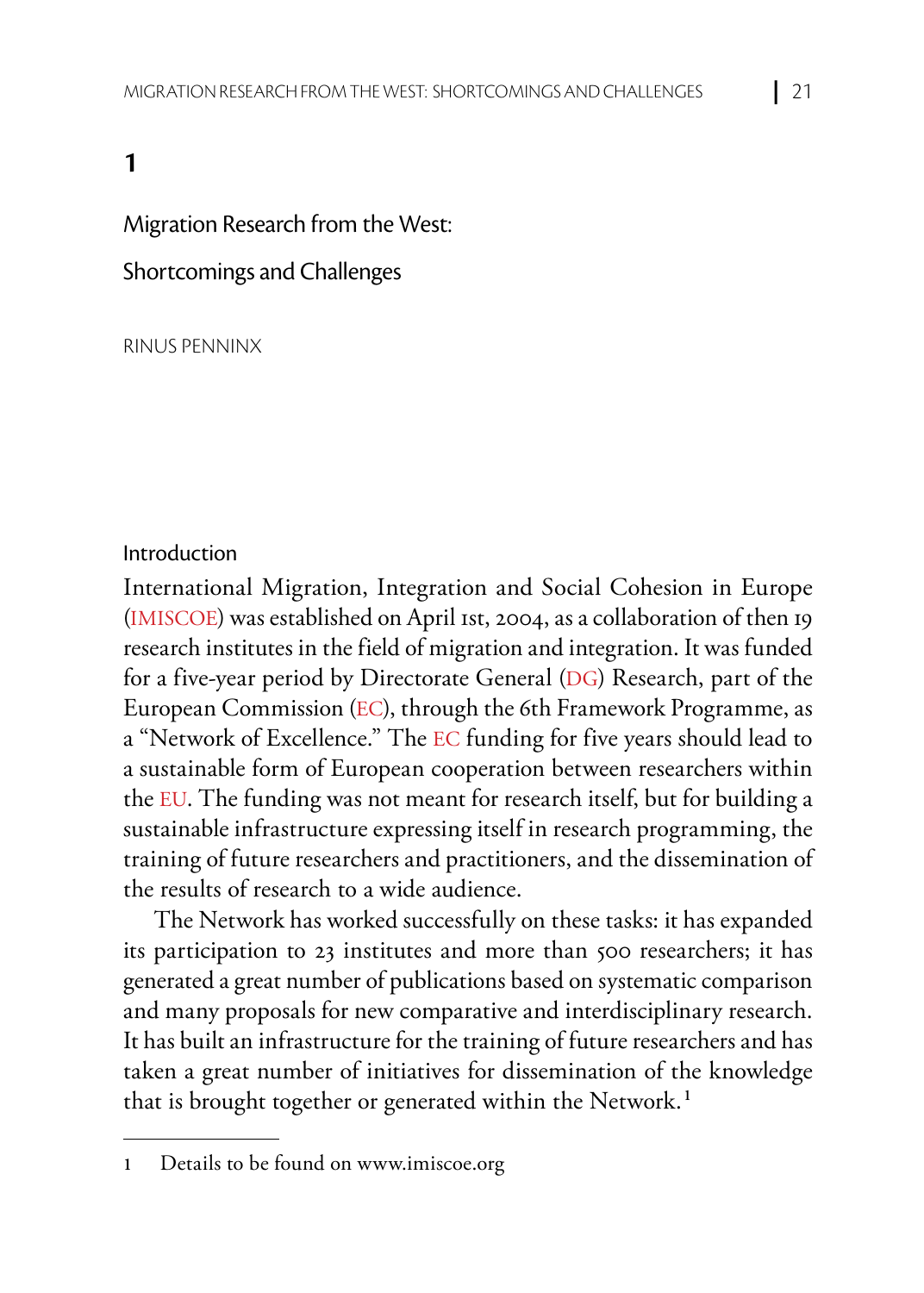## **1**

#### Migration Research from the West:

#### Shortcomings and Challenges

RINUS PENNINX

#### Introduction

International Migration, Integration and Social Cohesion in Europe (IMISCOE) was established on April 1st, 2004, as a collaboration of then 19 research institutes in the field of migration and integration. It was funded for a five-year period by Directorate General (DG) Research, part of the European Commission (EC), through the 6th Framework Programme, as a "Network of Excellence." The EC funding for five years should lead to a sustainable form of European cooperation between researchers within the EU. The funding was not meant for research itself, but for building a sustainable infrastructure expressing itself in research programming, the training of future researchers and practitioners, and the dissemination of the results of research to a wide audience.

The Network has worked successfully on these tasks: it has expanded its participation to 23 institutes and more than 500 researchers; it has generated a great number of publications based on systematic comparison and many proposals for new comparative and interdisciplinary research. It has built an infrastructure for the training of future researchers and has taken a great number of initiatives for dissemination of the knowledge that is brought together or generated within the Network.**<sup>1</sup>**

**<sup>1</sup>** Details to be found on www.imiscoe.org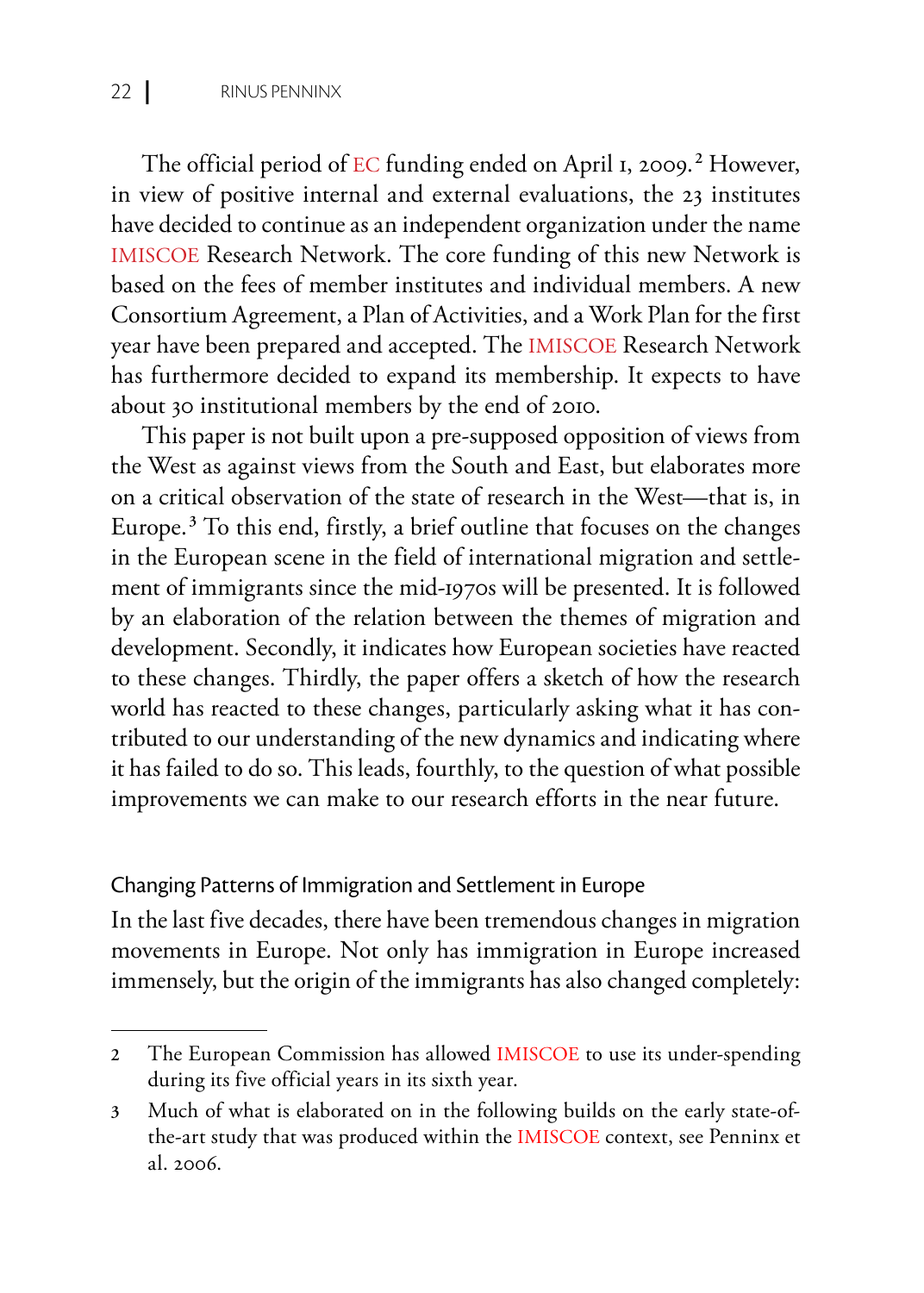The official period of EC funding ended on April 1, 2009.**<sup>2</sup>** However, in view of positive internal and external evaluations, the 23 institutes have decided to continue as an independent organization under the name IMISCOE Research Network. The core funding of this new Network is based on the fees of member institutes and individual members. A new Consortium Agreement, a Plan of Activities, and a Work Plan for the first year have been prepared and accepted. The IMISCOE Research Network has furthermore decided to expand its membership. It expects to have about 30 institutional members by the end of 2010.

This paper is not built upon a pre-supposed opposition of views from the West as against views from the South and East, but elaborates more on a critical observation of the state of research in the West—that is, in Europe.**<sup>3</sup>** To this end, firstly, a brief outline that focuses on the changes in the European scene in the field of international migration and settlement of immigrants since the mid-1970s will be presented. It is followed by an elaboration of the relation between the themes of migration and development. Secondly, it indicates how European societies have reacted to these changes. Thirdly, the paper offers a sketch of how the research world has reacted to these changes, particularly asking what it has contributed to our understanding of the new dynamics and indicating where it has failed to do so. This leads, fourthly, to the question of what possible improvements we can make to our research efforts in the near future.

#### Changing Patterns of Immigration and Settlement in Europe

In the last five decades, there have been tremendous changes in migration movements in Europe. Not only has immigration in Europe increased immensely, but the origin of the immigrants has also changed completely:

**<sup>2</sup>** The European Commission has allowed IMISCOE to use its under-spending during its five official years in its sixth year.

**<sup>3</sup>** Much of what is elaborated on in the following builds on the early state-ofthe-art study that was produced within the IMISCOE context, see Penninx et al. 2006.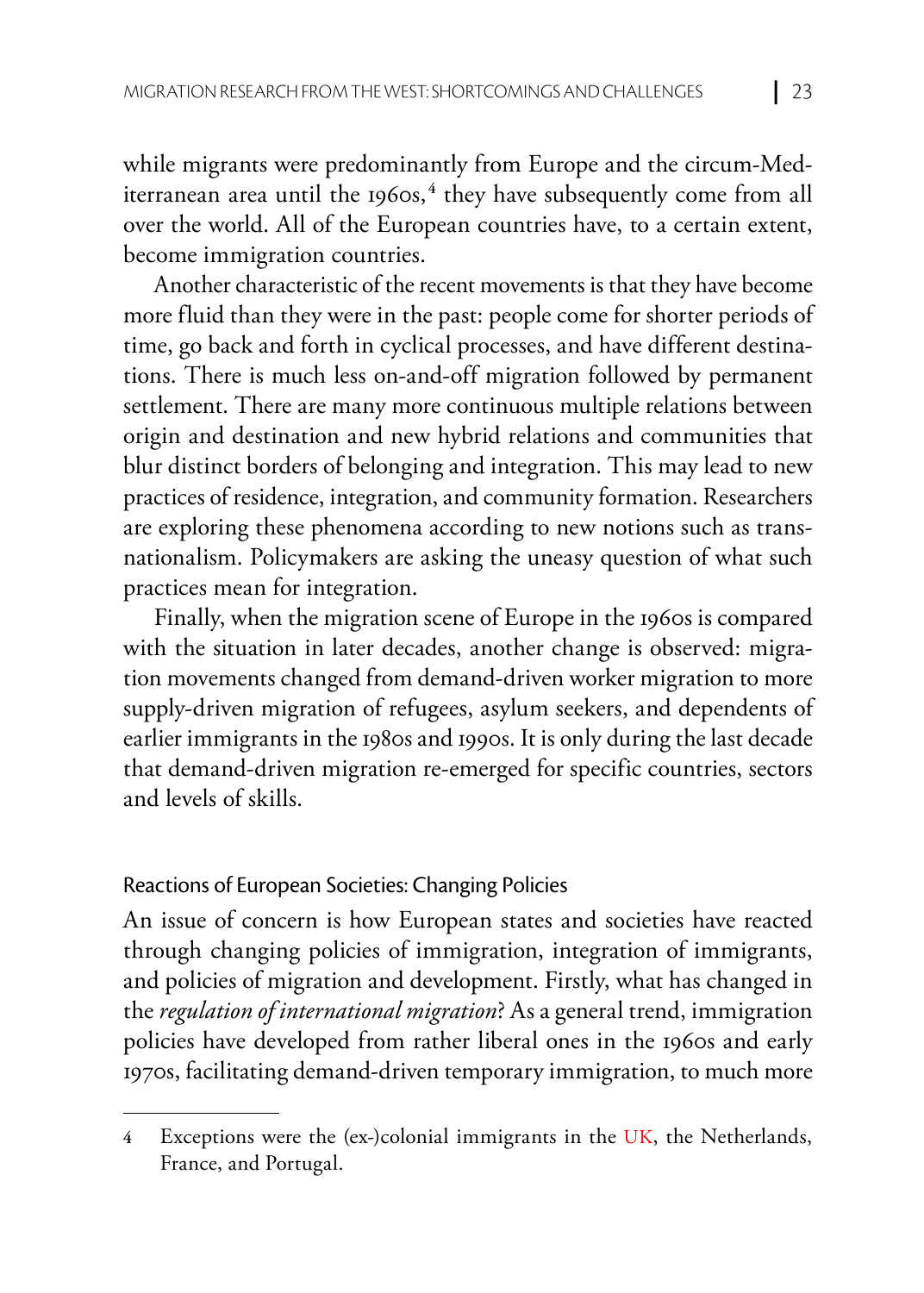while migrants were predominantly from Europe and the circum-Mediterranean area until the 1960s,**<sup>4</sup>** they have subsequently come from all over the world. All of the European countries have, to a certain extent, become immigration countries.

Another characteristic of the recent movements is that they have become more fluid than they were in the past: people come for shorter periods of time, go back and forth in cyclical processes, and have different destinations. There is much less on-and-off migration followed by permanent settlement. There are many more continuous multiple relations between origin and destination and new hybrid relations and communities that blur distinct borders of belonging and integration. This may lead to new practices of residence, integration, and community formation. Researchers are exploring these phenomena according to new notions such as transnationalism. Policymakers are asking the uneasy question of what such practices mean for integration.

Finally, when the migration scene of Europe in the 1960s is compared with the situation in later decades, another change is observed: migration movements changed from demand-driven worker migration to more supply-driven migration of refugees, asylum seekers, and dependents of earlier immigrants in the 1980s and 1990s. It is only during the last decade that demand-driven migration re-emerged for specific countries, sectors and levels of skills.

## Reactions of European Societies: Changing Policies

An issue of concern is how European states and societies have reacted through changing policies of immigration, integration of immigrants, and policies of migration and development. Firstly, what has changed in the *regulation of international migration*? As a general trend, immigration policies have developed from rather liberal ones in the 1960s and early 1970s, facilitating demand-driven temporary immigration, to much more

**<sup>4</sup>** Exceptions were the (ex-)colonial immigrants in the UK, the Netherlands, France, and Portugal.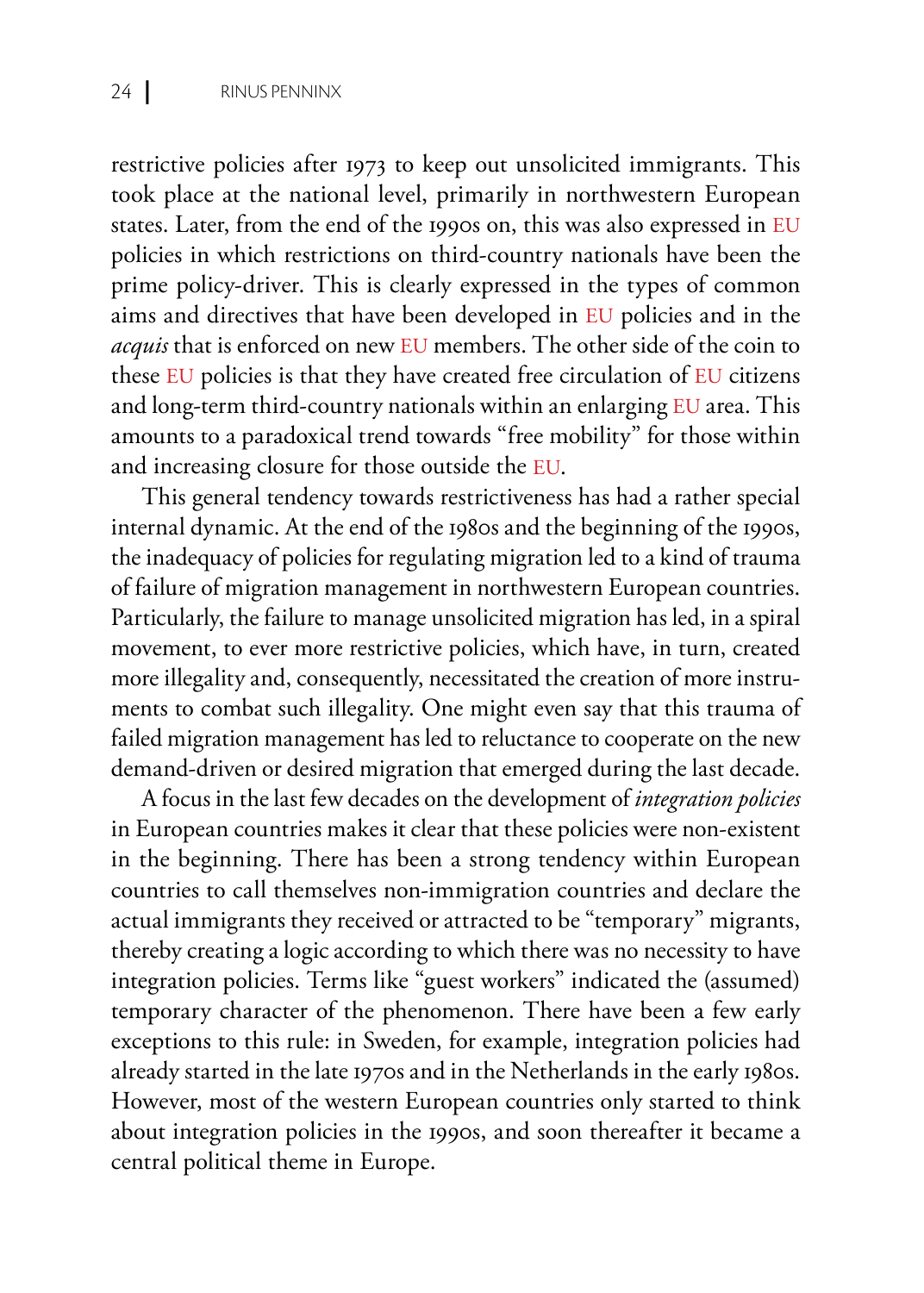restrictive policies after 1973 to keep out unsolicited immigrants. This took place at the national level, primarily in northwestern European states. Later, from the end of the 1990s on, this was also expressed in EU policies in which restrictions on third-country nationals have been the prime policy-driver. This is clearly expressed in the types of common aims and directives that have been developed in EU policies and in the *acquis* that is enforced on new EU members. The other side of the coin to these EU policies is that they have created free circulation of EU citizens and long-term third-country nationals within an enlarging EU area. This amounts to a paradoxical trend towards "free mobility" for those within and increasing closure for those outside the EU.

This general tendency towards restrictiveness has had a rather special internal dynamic. At the end of the 1980s and the beginning of the 1990s, the inadequacy of policies for regulating migration led to a kind of trauma of failure of migration management in northwestern European countries. Particularly, the failure to manage unsolicited migration has led, in a spiral movement, to ever more restrictive policies, which have, in turn, created more illegality and, consequently, necessitated the creation of more instruments to combat such illegality. One might even say that this trauma of failed migration management has led to reluctance to cooperate on the new demand-driven or desired migration that emerged during the last decade.

A focus in the last few decades on the development of *integration policies* in European countries makes it clear that these policies were non-existent in the beginning. There has been a strong tendency within European countries to call themselves non-immigration countries and declare the actual immigrants they received or attracted to be "temporary" migrants, thereby creating a logic according to which there was no necessity to have integration policies. Terms like "guest workers" indicated the (assumed) temporary character of the phenomenon. There have been a few early exceptions to this rule: in Sweden, for example, integration policies had already started in the late 1970s and in the Netherlands in the early 1980s. However, most of the western European countries only started to think about integration policies in the 1990s, and soon thereafter it became a central political theme in Europe.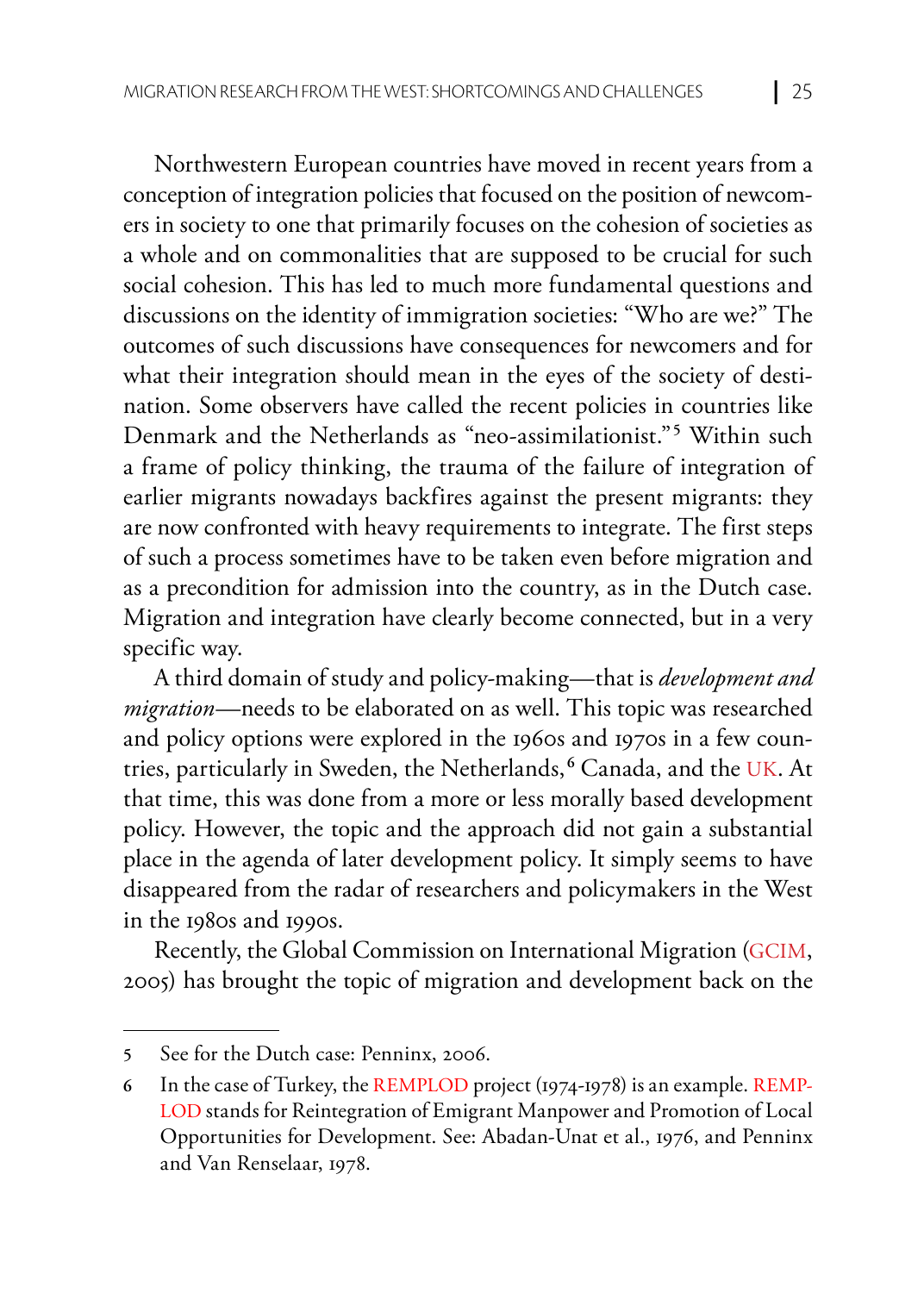Northwestern European countries have moved in recent years from a conception of integration policies that focused on the position of newcomers in society to one that primarily focuses on the cohesion of societies as a whole and on commonalities that are supposed to be crucial for such social cohesion. This has led to much more fundamental questions and discussions on the identity of immigration societies: "Who are we?" The outcomes of such discussions have consequences for newcomers and for what their integration should mean in the eyes of the society of destination. Some observers have called the recent policies in countries like Denmark and the Netherlands as "neo-assimilationist."**<sup>5</sup>** Within such a frame of policy thinking, the trauma of the failure of integration of earlier migrants nowadays backfires against the present migrants: they are now confronted with heavy requirements to integrate. The first steps of such a process sometimes have to be taken even before migration and as a precondition for admission into the country, as in the Dutch case. Migration and integration have clearly become connected, but in a very specific way.

A third domain of study and policy-making—that is *development and migration*—needs to be elaborated on as well. This topic was researched and policy options were explored in the 1960s and 1970s in a few countries, particularly in Sweden, the Netherlands, **<sup>6</sup>** Canada, and the UK. At that time, this was done from a more or less morally based development policy. However, the topic and the approach did not gain a substantial place in the agenda of later development policy. It simply seems to have disappeared from the radar of researchers and policymakers in the West in the 1980s and 1990s.

Recently, the Global Commission on International Migration (GCIM, 2005) has brought the topic of migration and development back on the

**<sup>5</sup>** See for the Dutch case: Penninx, 2006.

**<sup>6</sup>** In the case of Turkey, the REMPLOD project (1974-1978) is an example. REMP-LOD stands for Reintegration of Emigrant Manpower and Promotion of Local Opportunities for Development. See: Abadan-Unat et al., 1976, and Penninx and Van Renselaar, 1978.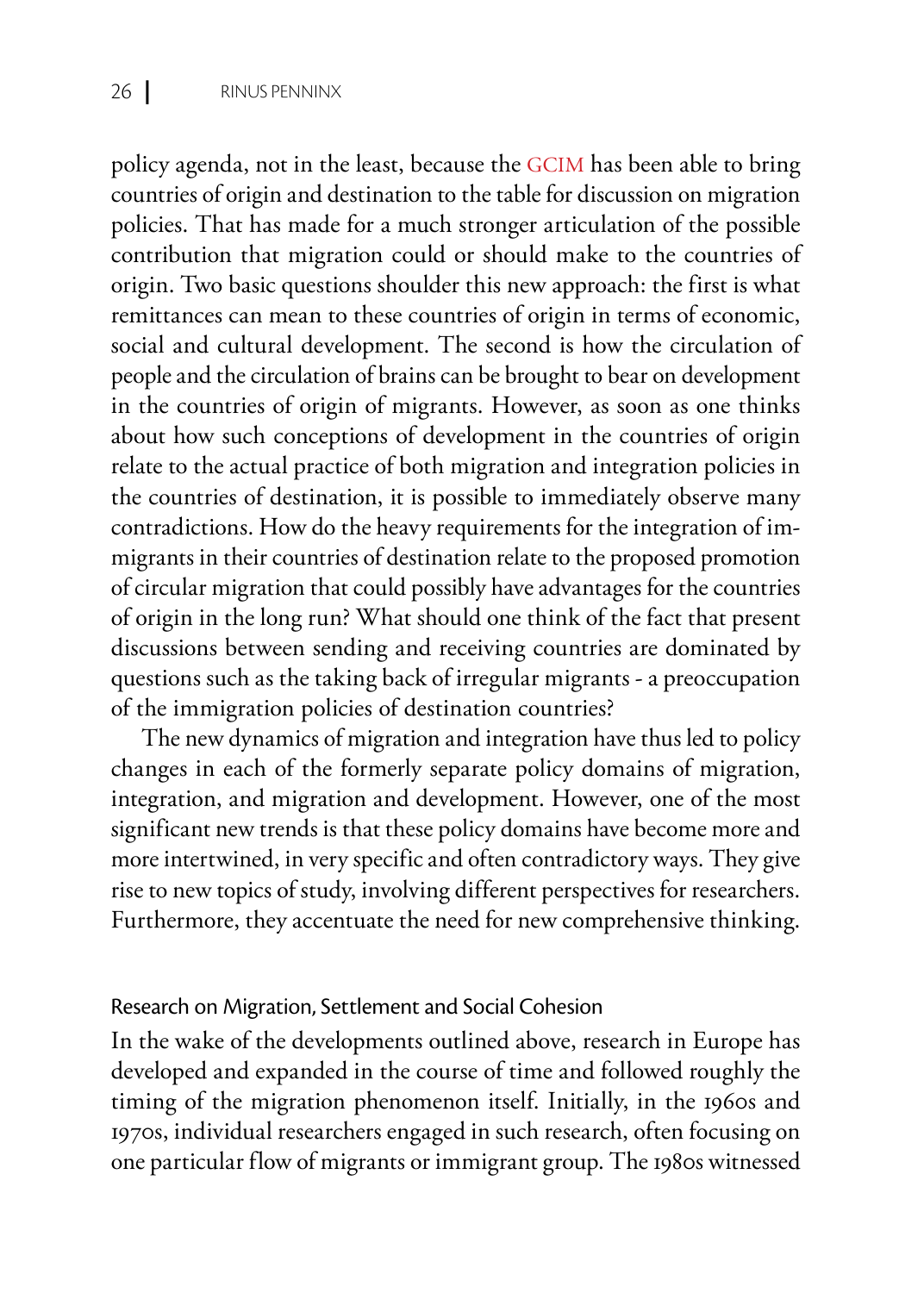policy agenda, not in the least, because the GCIM has been able to bring countries of origin and destination to the table for discussion on migration policies. That has made for a much stronger articulation of the possible contribution that migration could or should make to the countries of origin. Two basic questions shoulder this new approach: the first is what remittances can mean to these countries of origin in terms of economic, social and cultural development. The second is how the circulation of people and the circulation of brains can be brought to bear on development in the countries of origin of migrants. However, as soon as one thinks about how such conceptions of development in the countries of origin relate to the actual practice of both migration and integration policies in the countries of destination, it is possible to immediately observe many contradictions. How do the heavy requirements for the integration of immigrants in their countries of destination relate to the proposed promotion of circular migration that could possibly have advantages for the countries of origin in the long run? What should one think of the fact that present discussions between sending and receiving countries are dominated by questions such as the taking back of irregular migrants - a preoccupation of the immigration policies of destination countries?

The new dynamics of migration and integration have thus led to policy changes in each of the formerly separate policy domains of migration, integration, and migration and development. However, one of the most significant new trends is that these policy domains have become more and more intertwined, in very specific and often contradictory ways. They give rise to new topics of study, involving different perspectives for researchers. Furthermore, they accentuate the need for new comprehensive thinking.

#### Research on Migration, Settlement and Social Cohesion

In the wake of the developments outlined above, research in Europe has developed and expanded in the course of time and followed roughly the timing of the migration phenomenon itself. Initially, in the 1960s and 1970s, individual researchers engaged in such research, often focusing on one particular flow of migrants or immigrant group. The 1980s witnessed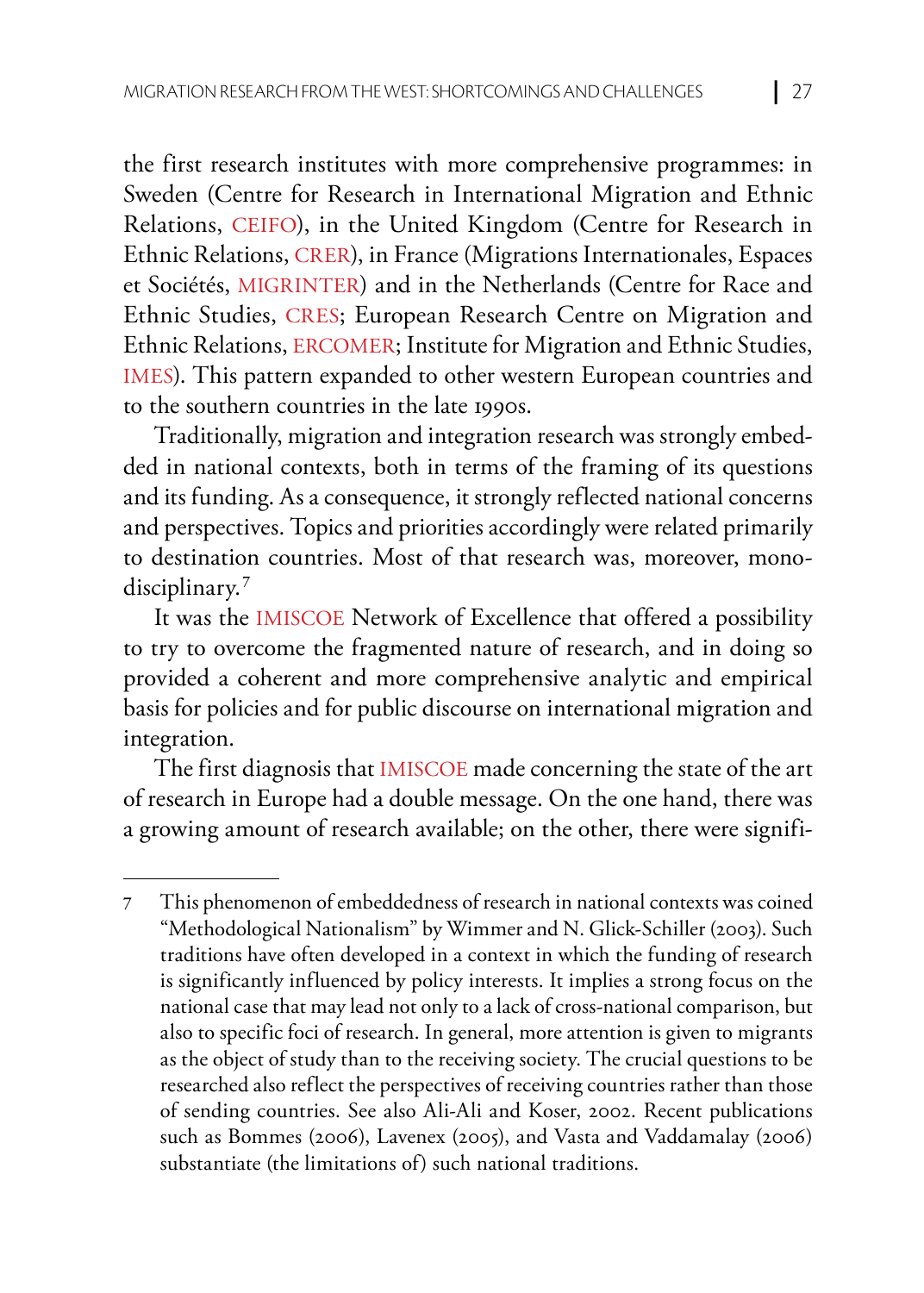the first research institutes with more comprehensive programmes: in Sweden (Centre for Research in International Migration and Ethnic Relations, CEIFO), in the United Kingdom (Centre for Research in Ethnic Relations, CRER), in France (Migrations Internationales, Espaces et Sociétés, MIGRINTER) and in the Netherlands (Centre for Race and Ethnic Studies, CRES; European Research Centre on Migration and Ethnic Relations, ERCOMER; Institute for Migration and Ethnic Studies, IMES). This pattern expanded to other western European countries and to the southern countries in the late 1990s.

Traditionally, migration and integration research was strongly embedded in national contexts, both in terms of the framing of its questions and its funding. As a consequence, it strongly reflected national concerns and perspectives. Topics and priorities accordingly were related primarily to destination countries. Most of that research was, moreover, monodisciplinary.**<sup>7</sup>**

It was the IMISCOE Network of Excellence that offered a possibility to try to overcome the fragmented nature of research, and in doing so provided a coherent and more comprehensive analytic and empirical basis for policies and for public discourse on international migration and integration.

The first diagnosis that IMISCOE made concerning the state of the art of research in Europe had a double message. On the one hand, there was a growing amount of research available; on the other, there were signifi-

**<sup>7</sup>** This phenomenon of embeddedness of research in national contexts was coined "Methodological Nationalism" by Wimmer and N. Glick-Schiller (2003). Such traditions have often developed in a context in which the funding of research is significantly influenced by policy interests. It implies a strong focus on the national case that may lead not only to a lack of cross-national comparison, but also to specific foci of research. In general, more attention is given to migrants as the object of study than to the receiving society. The crucial questions to be researched also reflect the perspectives of receiving countries rather than those of sending countries. See also Ali-Ali and Koser, 2002. Recent publications such as Bommes (2006), Lavenex (2005), and Vasta and Vaddamalay (2006) substantiate (the limitations of) such national traditions.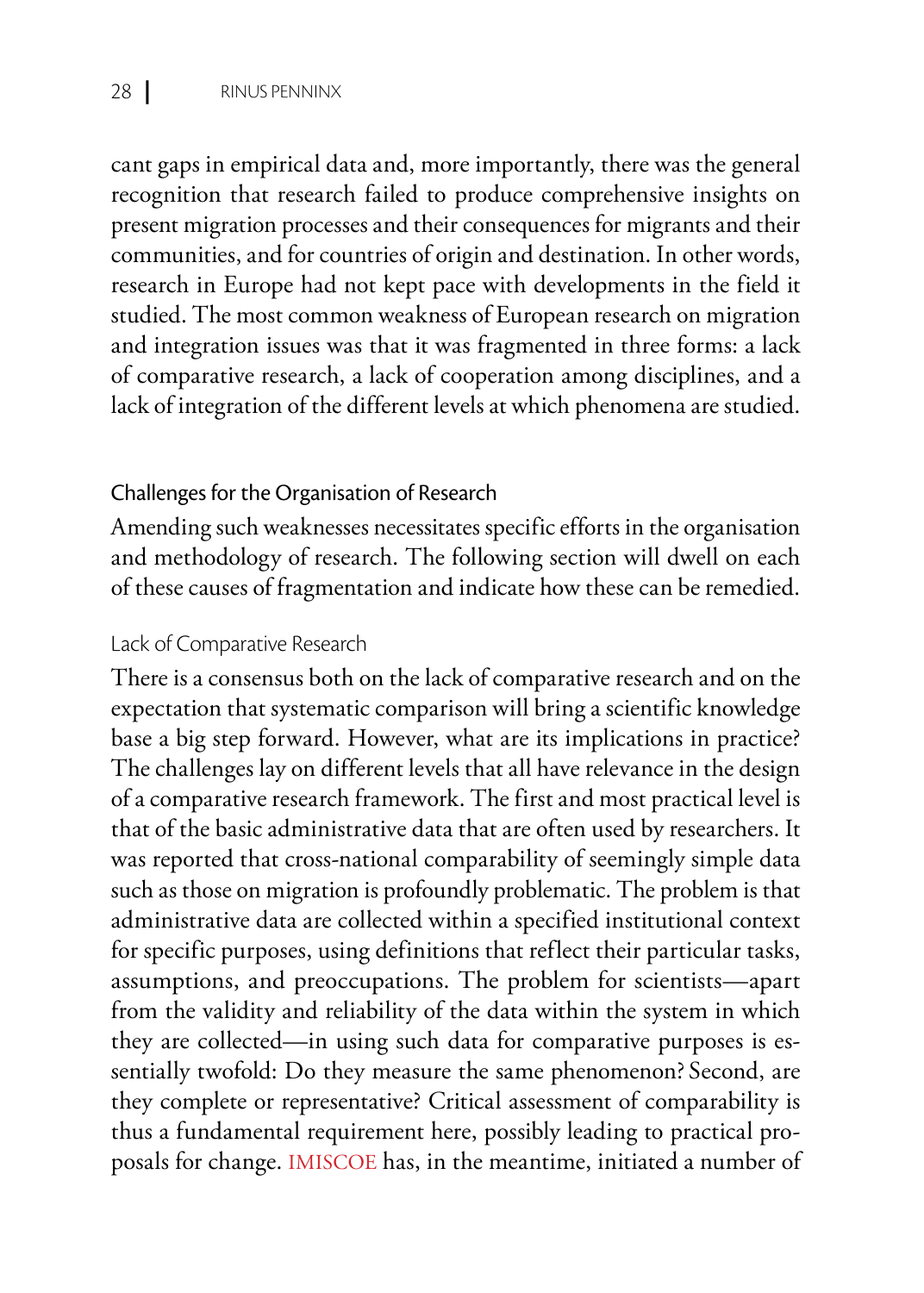cant gaps in empirical data and, more importantly, there was the general recognition that research failed to produce comprehensive insights on present migration processes and their consequences for migrants and their communities, and for countries of origin and destination. In other words, research in Europe had not kept pace with developments in the field it studied. The most common weakness of European research on migration and integration issues was that it was fragmented in three forms: a lack of comparative research, a lack of cooperation among disciplines, and a lack of integration of the different levels at which phenomena are studied.

#### Challenges for the Organisation of Research

Amending such weaknesses necessitates specific efforts in the organisation and methodology of research. The following section will dwell on each of these causes of fragmentation and indicate how these can be remedied.

#### Lack of Comparative Research

There is a consensus both on the lack of comparative research and on the expectation that systematic comparison will bring a scientific knowledge base a big step forward. However, what are its implications in practice? The challenges lay on different levels that all have relevance in the design of a comparative research framework. The first and most practical level is that of the basic administrative data that are often used by researchers. It was reported that cross-national comparability of seemingly simple data such as those on migration is profoundly problematic. The problem is that administrative data are collected within a specified institutional context for specific purposes, using definitions that reflect their particular tasks, assumptions, and preoccupations. The problem for scientists—apart from the validity and reliability of the data within the system in which they are collected—in using such data for comparative purposes is essentially twofold: Do they measure the same phenomenon? Second, are they complete or representative? Critical assessment of comparability is thus a fundamental requirement here, possibly leading to practical proposals for change. IMISCOE has, in the meantime, initiated a number of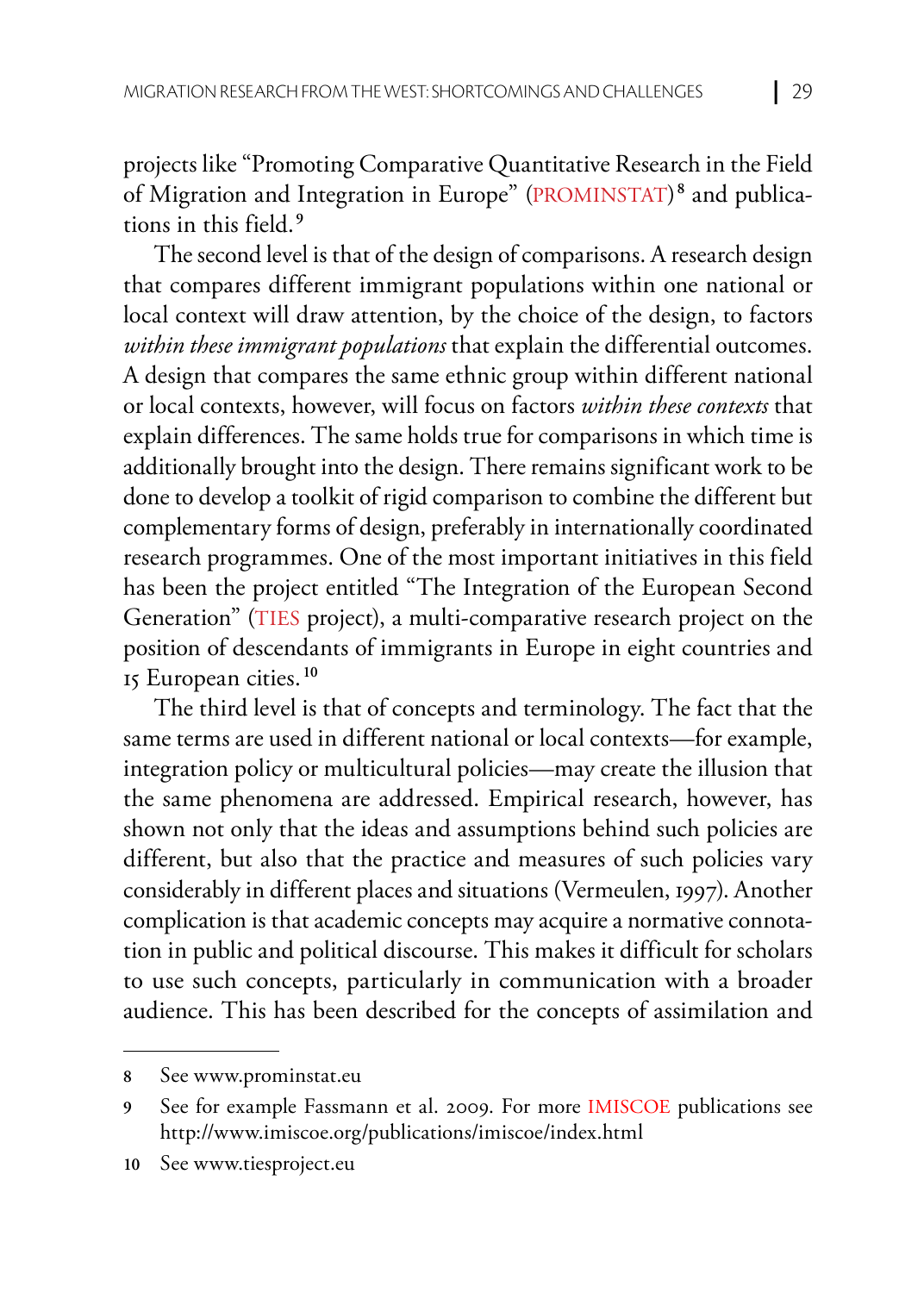projects like "Promoting Comparative Quantitative Research in the Field of Migration and Integration in Europe" (PROMINSTAT)**<sup>8</sup>** and publications in this field.**<sup>9</sup>**

The second level is that of the design of comparisons. A research design that compares different immigrant populations within one national or local context will draw attention, by the choice of the design, to factors *within these immigrant populations* that explain the differential outcomes. A design that compares the same ethnic group within different national or local contexts, however, will focus on factors *within these contexts* that explain differences. The same holds true for comparisons in which time is additionally brought into the design. There remains significant work to be done to develop a toolkit of rigid comparison to combine the different but complementary forms of design, preferably in internationally coordinated research programmes. One of the most important initiatives in this field has been the project entitled "The Integration of the European Second Generation" (TIES project), a multi-comparative research project on the position of descendants of immigrants in Europe in eight countries and 15 European cities.**<sup>10</sup>**

The third level is that of concepts and terminology. The fact that the same terms are used in different national or local contexts—for example, integration policy or multicultural policies—may create the illusion that the same phenomena are addressed. Empirical research, however, has shown not only that the ideas and assumptions behind such policies are different, but also that the practice and measures of such policies vary considerably in different places and situations (Vermeulen, 1997). Another complication is that academic concepts may acquire a normative connotation in public and political discourse. This makes it difficult for scholars to use such concepts, particularly in communication with a broader audience. This has been described for the concepts of assimilation and

**<sup>8</sup>** See www.prominstat.eu

**<sup>9</sup>** See for example Fassmann et al. 2009. For more IMISCOE publications see http://www.imiscoe.org/publications/imiscoe/index.html

**<sup>10</sup>** See www.tiesproject.eu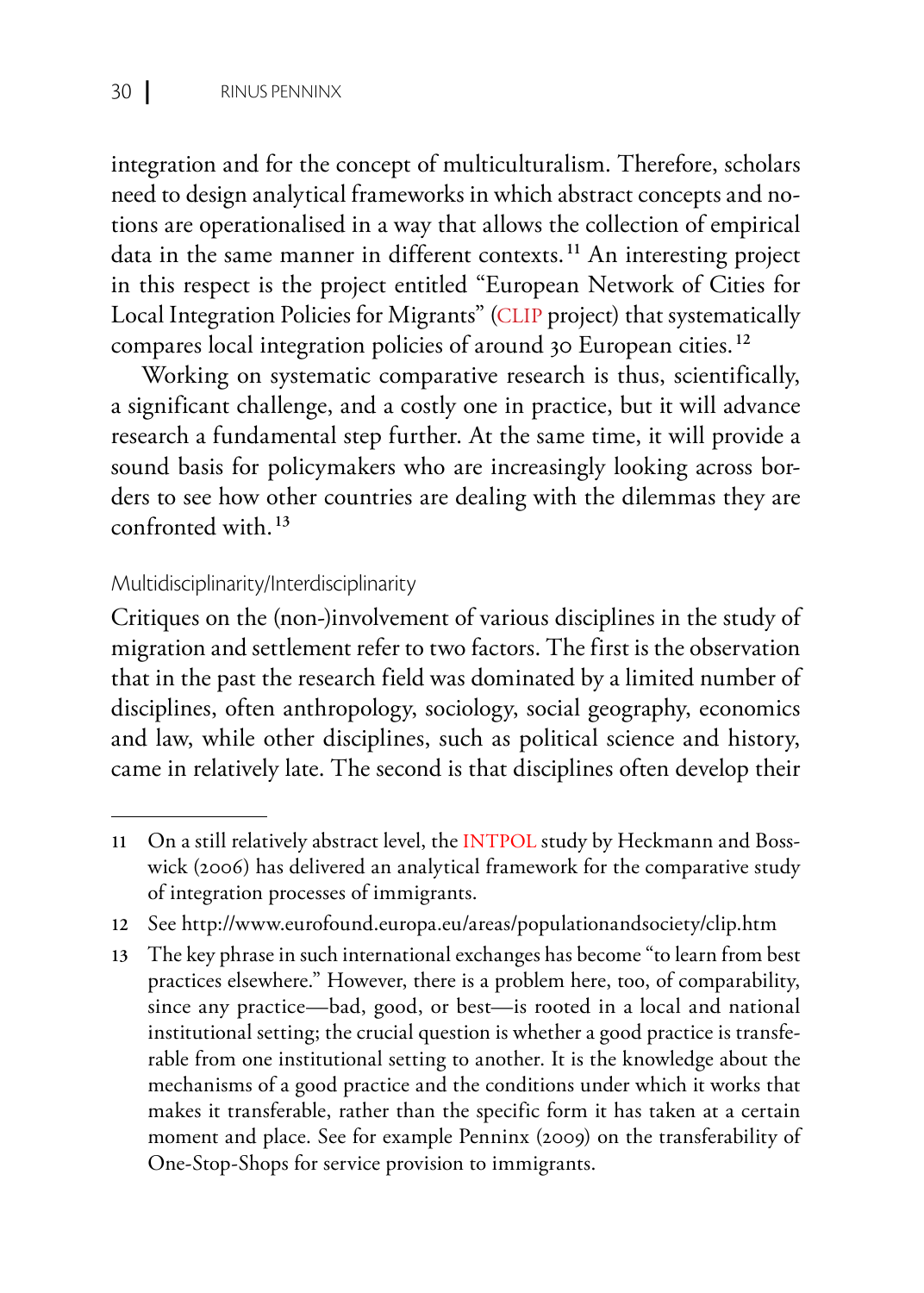integration and for the concept of multiculturalism. Therefore, scholars need to design analytical frameworks in which abstract concepts and notions are operationalised in a way that allows the collection of empirical data in the same manner in different contexts.**<sup>11</sup>** An interesting project in this respect is the project entitled "European Network of Cities for Local Integration Policies for Migrants" (CLIP project) that systematically compares local integration policies of around 30 European cities.**<sup>12</sup>**

Working on systematic comparative research is thus, scientifically, a significant challenge, and a costly one in practice, but it will advance research a fundamental step further. At the same time, it will provide a sound basis for policymakers who are increasingly looking across borders to see how other countries are dealing with the dilemmas they are confronted with.**<sup>13</sup>**

#### Multidisciplinarity/Interdisciplinarity

Critiques on the (non-)involvement of various disciplines in the study of migration and settlement refer to two factors. The first is the observation that in the past the research field was dominated by a limited number of disciplines, often anthropology, sociology, social geography, economics and law, while other disciplines, such as political science and history, came in relatively late. The second is that disciplines often develop their

**<sup>11</sup>** On a still relatively abstract level, the INTPOL study by Heckmann and Bosswick (2006) has delivered an analytical framework for the comparative study of integration processes of immigrants.

**<sup>12</sup>** See http://www.eurofound.europa.eu/areas/populationandsociety/clip.htm

**<sup>13</sup>** The key phrase in such international exchanges has become "to learn from best practices elsewhere." However, there is a problem here, too, of comparability, since any practice—bad, good, or best—is rooted in a local and national institutional setting; the crucial question is whether a good practice is transferable from one institutional setting to another. It is the knowledge about the mechanisms of a good practice and the conditions under which it works that makes it transferable, rather than the specific form it has taken at a certain moment and place. See for example Penninx (2009) on the transferability of One-Stop-Shops for service provision to immigrants.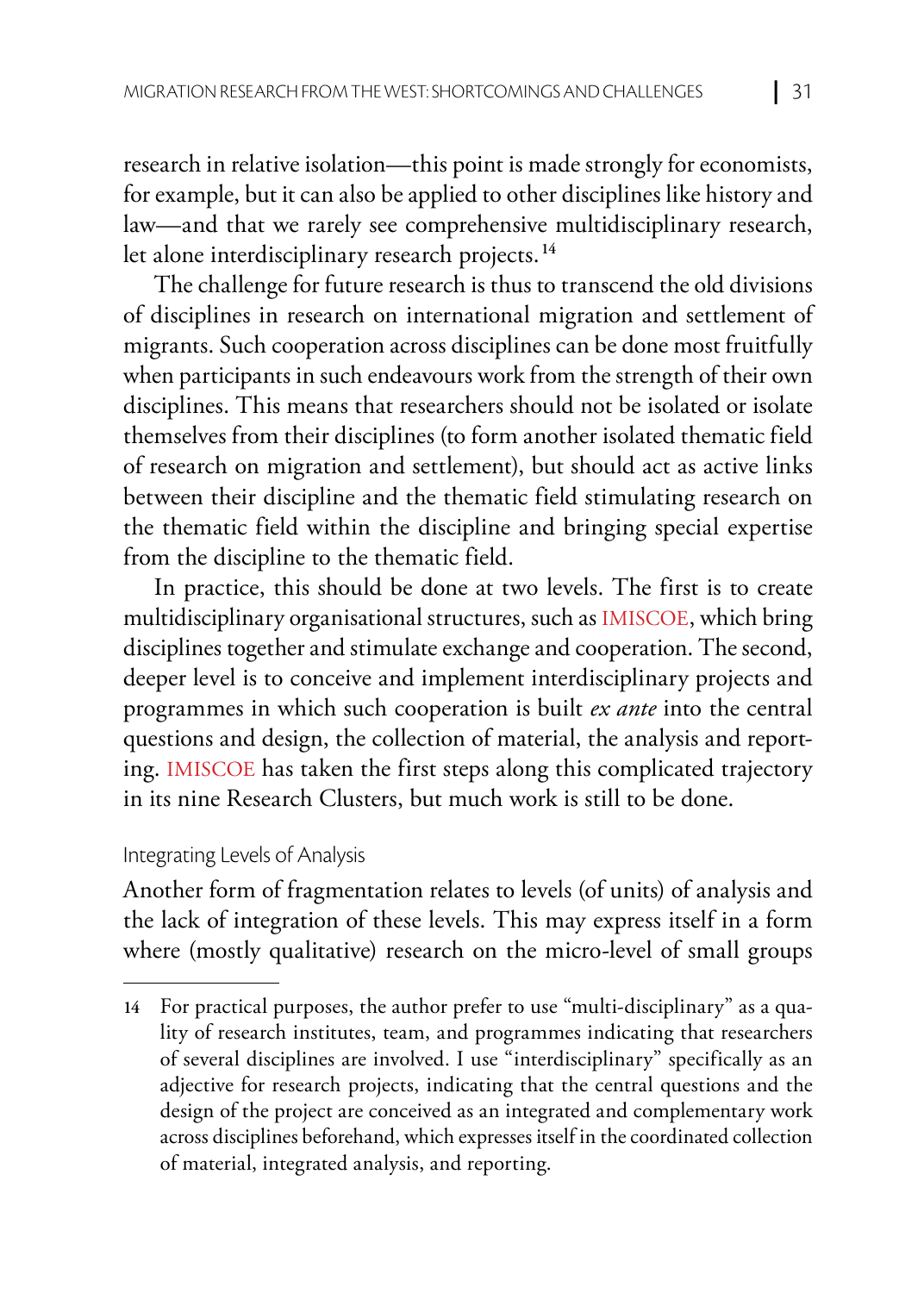research in relative isolation—this point is made strongly for economists, for example, but it can also be applied to other disciplines like history and law—and that we rarely see comprehensive multidisciplinary research, let alone interdisciplinary research projects.**<sup>14</sup>**

The challenge for future research is thus to transcend the old divisions of disciplines in research on international migration and settlement of migrants. Such cooperation across disciplines can be done most fruitfully when participants in such endeavours work from the strength of their own disciplines. This means that researchers should not be isolated or isolate themselves from their disciplines (to form another isolated thematic field of research on migration and settlement), but should act as active links between their discipline and the thematic field stimulating research on the thematic field within the discipline and bringing special expertise from the discipline to the thematic field.

In practice, this should be done at two levels. The first is to create multidisciplinary organisational structures, such as IMISCOE, which bring disciplines together and stimulate exchange and cooperation. The second, deeper level is to conceive and implement interdisciplinary projects and programmes in which such cooperation is built *ex ante* into the central questions and design, the collection of material, the analysis and reporting. IMISCOE has taken the first steps along this complicated trajectory in its nine Research Clusters, but much work is still to be done.

#### Integrating Levels of Analysis

Another form of fragmentation relates to levels (of units) of analysis and the lack of integration of these levels. This may express itself in a form where (mostly qualitative) research on the micro-level of small groups

**<sup>14</sup>** For practical purposes, the author prefer to use "multi-disciplinary" as a quality of research institutes, team, and programmes indicating that researchers of several disciplines are involved. I use "interdisciplinary" specifically as an adjective for research projects, indicating that the central questions and the design of the project are conceived as an integrated and complementary work across disciplines beforehand, which expresses itself in the coordinated collection of material, integrated analysis, and reporting.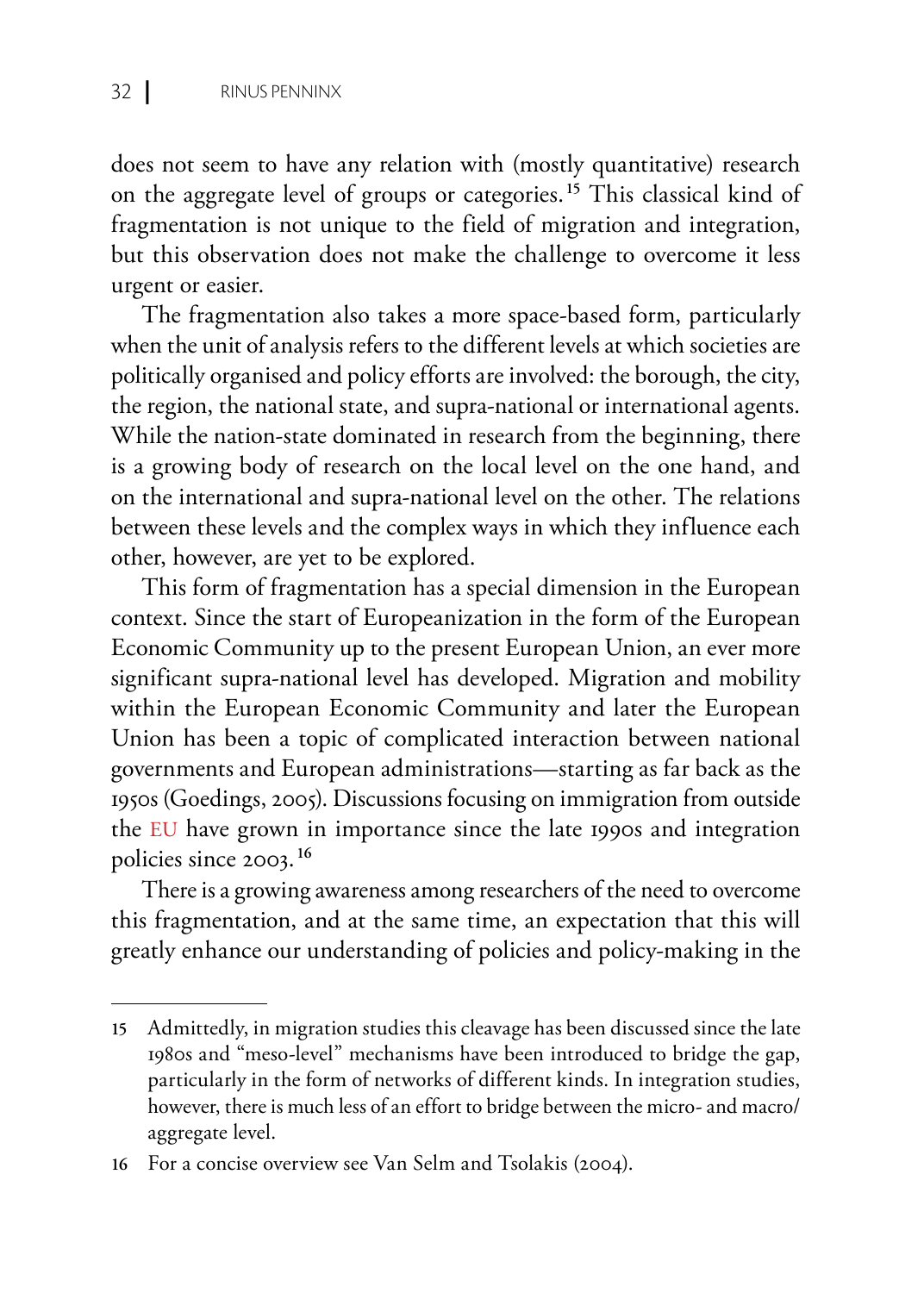does not seem to have any relation with (mostly quantitative) research on the aggregate level of groups or categories.**<sup>15</sup>** This classical kind of fragmentation is not unique to the field of migration and integration, but this observation does not make the challenge to overcome it less urgent or easier.

The fragmentation also takes a more space-based form, particularly when the unit of analysis refers to the different levels at which societies are politically organised and policy efforts are involved: the borough, the city, the region, the national state, and supra-national or international agents. While the nation-state dominated in research from the beginning, there is a growing body of research on the local level on the one hand, and on the international and supra-national level on the other. The relations between these levels and the complex ways in which they influence each other, however, are yet to be explored.

This form of fragmentation has a special dimension in the European context. Since the start of Europeanization in the form of the European Economic Community up to the present European Union, an ever more significant supra-national level has developed. Migration and mobility within the European Economic Community and later the European Union has been a topic of complicated interaction between national governments and European administrations—starting as far back as the 1950s (Goedings, 2005). Discussions focusing on immigration from outside the EU have grown in importance since the late 1990s and integration policies since 2003.**<sup>16</sup>**

There is a growing awareness among researchers of the need to overcome this fragmentation, and at the same time, an expectation that this will greatly enhance our understanding of policies and policy-making in the

**<sup>15</sup>** Admittedly, in migration studies this cleavage has been discussed since the late 1980s and "meso-level" mechanisms have been introduced to bridge the gap, particularly in the form of networks of different kinds. In integration studies, however, there is much less of an effort to bridge between the micro- and macro/ aggregate level.

**<sup>16</sup>** For a concise overview see Van Selm and Tsolakis (2004).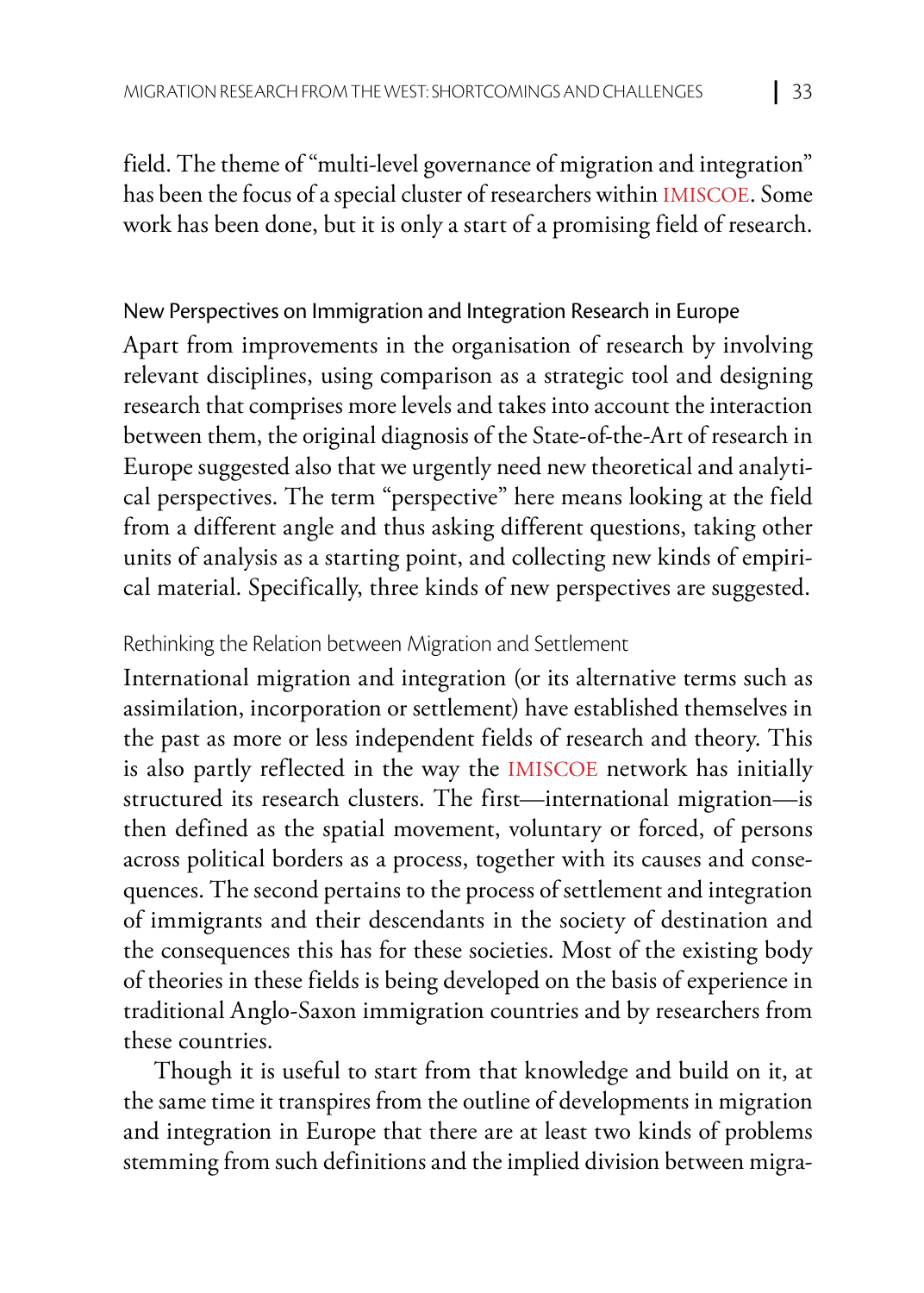field. The theme of "multi-level governance of migration and integration" has been the focus of a special cluster of researchers within IMISCOE. Some work has been done, but it is only a start of a promising field of research.

## New Perspectives on Immigration and Integration Research in Europe

Apart from improvements in the organisation of research by involving relevant disciplines, using comparison as a strategic tool and designing research that comprises more levels and takes into account the interaction between them, the original diagnosis of the State-of-the-Art of research in Europe suggested also that we urgently need new theoretical and analytical perspectives. The term "perspective" here means looking at the field from a different angle and thus asking different questions, taking other units of analysis as a starting point, and collecting new kinds of empirical material. Specifically, three kinds of new perspectives are suggested.

#### Rethinking the Relation between Migration and Settlement

International migration and integration (or its alternative terms such as assimilation, incorporation or settlement) have established themselves in the past as more or less independent fields of research and theory. This is also partly reflected in the way the IMISCOE network has initially structured its research clusters. The first—international migration—is then defined as the spatial movement, voluntary or forced, of persons across political borders as a process, together with its causes and consequences. The second pertains to the process of settlement and integration of immigrants and their descendants in the society of destination and the consequences this has for these societies. Most of the existing body of theories in these fields is being developed on the basis of experience in traditional Anglo-Saxon immigration countries and by researchers from these countries.

Though it is useful to start from that knowledge and build on it, at the same time it transpires from the outline of developments in migration and integration in Europe that there are at least two kinds of problems stemming from such definitions and the implied division between migra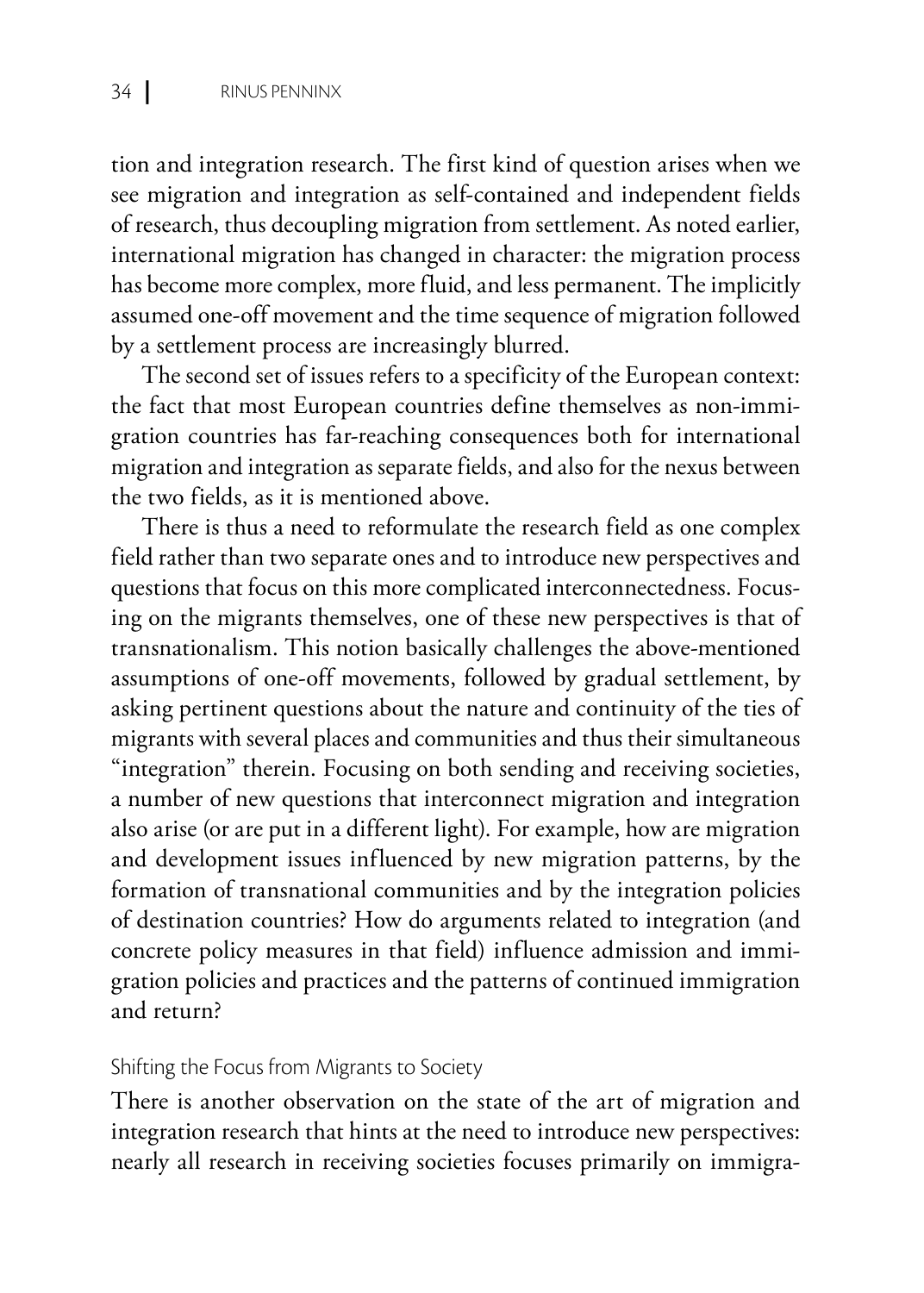tion and integration research. The first kind of question arises when we see migration and integration as self-contained and independent fields of research, thus decoupling migration from settlement. As noted earlier, international migration has changed in character: the migration process has become more complex, more fluid, and less permanent. The implicitly assumed one-off movement and the time sequence of migration followed by a settlement process are increasingly blurred.

The second set of issues refers to a specificity of the European context: the fact that most European countries define themselves as non-immigration countries has far-reaching consequences both for international migration and integration as separate fields, and also for the nexus between the two fields, as it is mentioned above.

There is thus a need to reformulate the research field as one complex field rather than two separate ones and to introduce new perspectives and questions that focus on this more complicated interconnectedness. Focusing on the migrants themselves, one of these new perspectives is that of transnationalism. This notion basically challenges the above-mentioned assumptions of one-off movements, followed by gradual settlement, by asking pertinent questions about the nature and continuity of the ties of migrants with several places and communities and thus their simultaneous "integration" therein. Focusing on both sending and receiving societies, a number of new questions that interconnect migration and integration also arise (or are put in a different light). For example, how are migration and development issues influenced by new migration patterns, by the formation of transnational communities and by the integration policies of destination countries? How do arguments related to integration (and concrete policy measures in that field) influence admission and immigration policies and practices and the patterns of continued immigration and return?

#### Shifting the Focus from Migrants to Society

There is another observation on the state of the art of migration and integration research that hints at the need to introduce new perspectives: nearly all research in receiving societies focuses primarily on immigra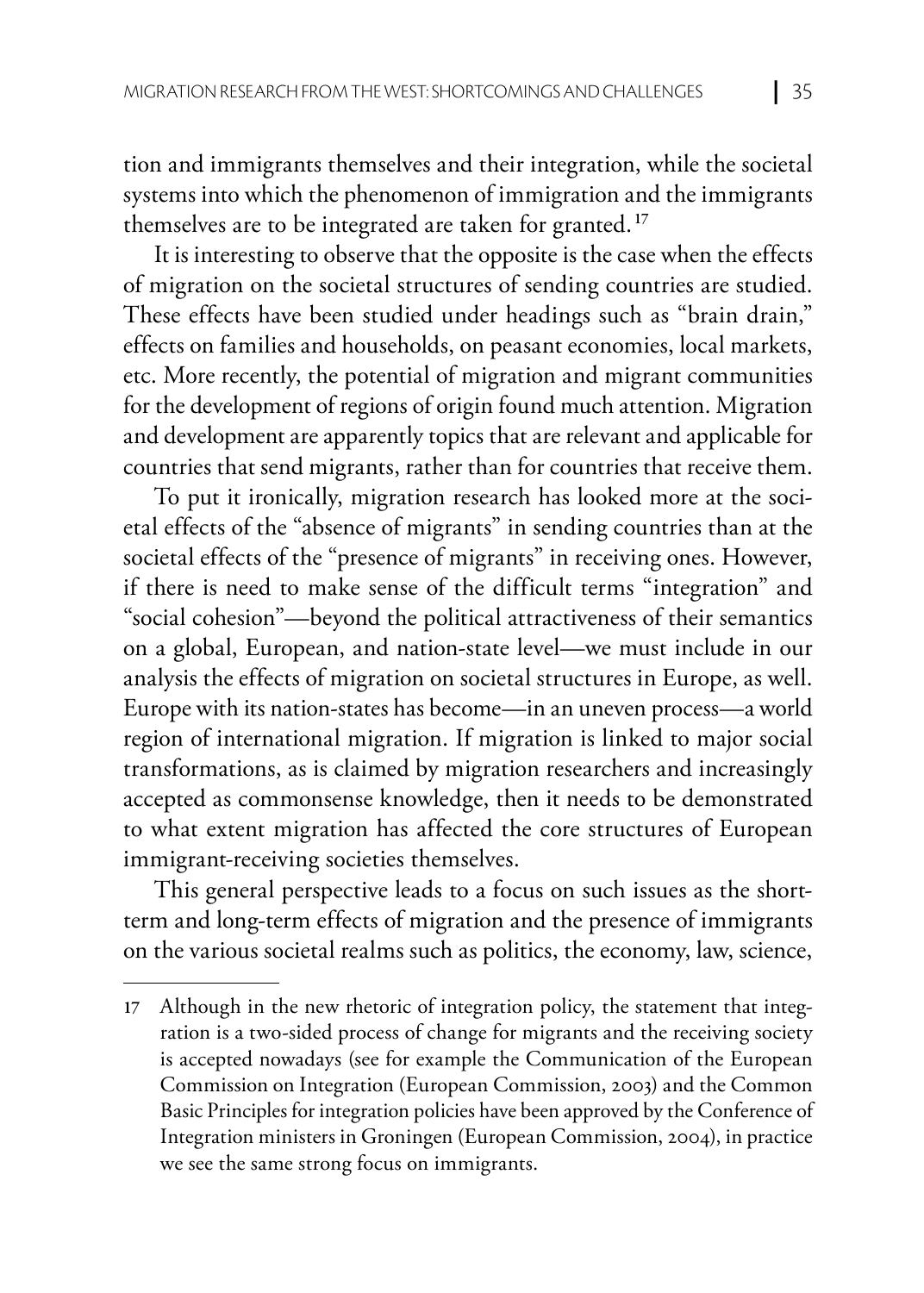tion and immigrants themselves and their integration, while the societal systems into which the phenomenon of immigration and the immigrants themselves are to be integrated are taken for granted. **<sup>17</sup>**

It is interesting to observe that the opposite is the case when the effects of migration on the societal structures of sending countries are studied. These effects have been studied under headings such as "brain drain," effects on families and households, on peasant economies, local markets, etc. More recently, the potential of migration and migrant communities for the development of regions of origin found much attention. Migration and development are apparently topics that are relevant and applicable for countries that send migrants, rather than for countries that receive them.

To put it ironically, migration research has looked more at the societal effects of the "absence of migrants" in sending countries than at the societal effects of the "presence of migrants" in receiving ones. However, if there is need to make sense of the difficult terms "integration" and "social cohesion"—beyond the political attractiveness of their semantics on a global, European, and nation-state level—we must include in our analysis the effects of migration on societal structures in Europe, as well. Europe with its nation-states has become—in an uneven process—a world region of international migration. If migration is linked to major social transformations, as is claimed by migration researchers and increasingly accepted as commonsense knowledge, then it needs to be demonstrated to what extent migration has affected the core structures of European immigrant-receiving societies themselves.

This general perspective leads to a focus on such issues as the shortterm and long-term effects of migration and the presence of immigrants on the various societal realms such as politics, the economy, law, science,

**<sup>17</sup>** Although in the new rhetoric of integration policy, the statement that integration is a two-sided process of change for migrants and the receiving society is accepted nowadays (see for example the Communication of the European Commission on Integration (European Commission, 2003) and the Common Basic Principles for integration policies have been approved by the Conference of Integration ministers in Groningen (European Commission, 2004), in practice we see the same strong focus on immigrants.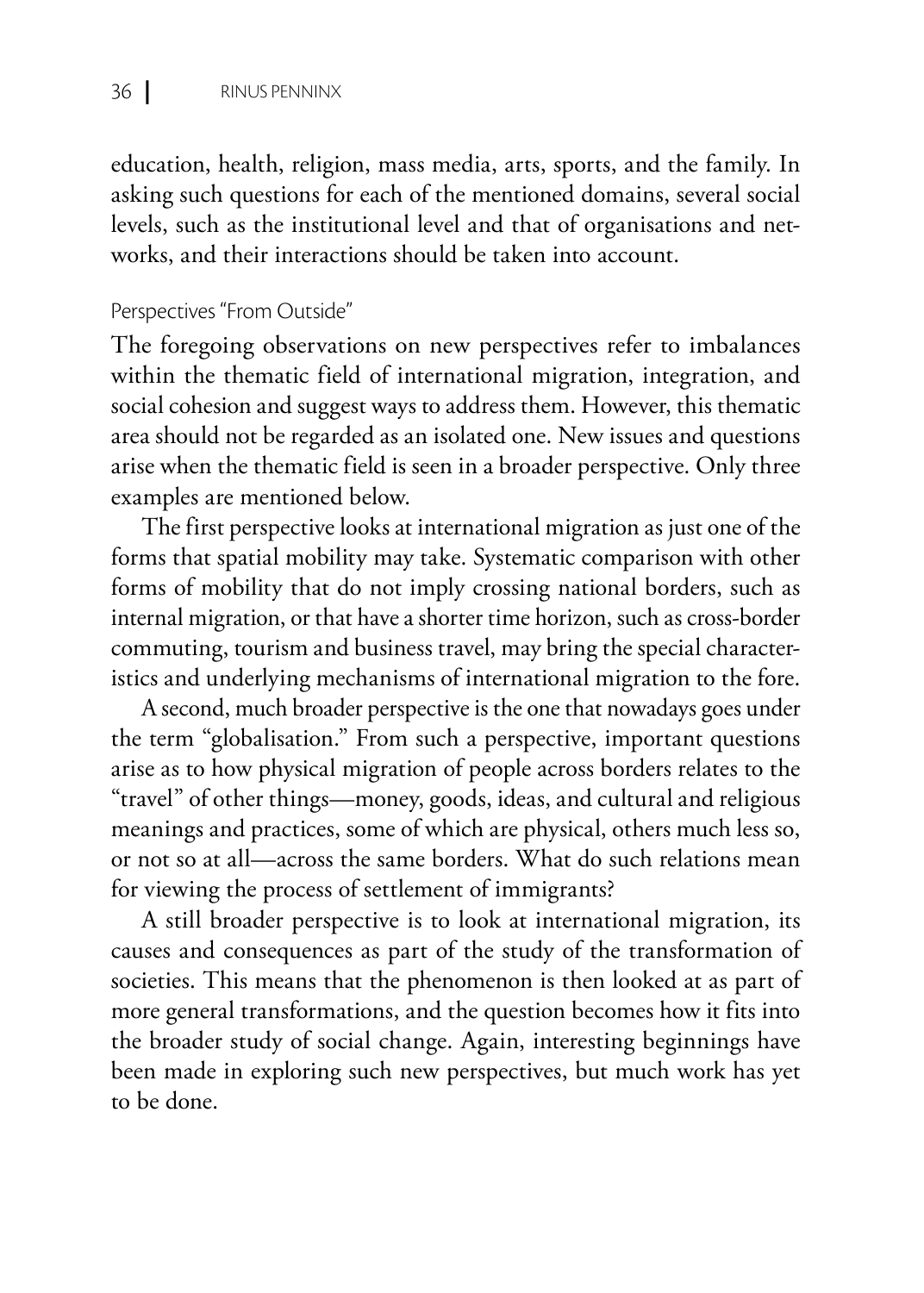education, health, religion, mass media, arts, sports, and the family. In asking such questions for each of the mentioned domains, several social levels, such as the institutional level and that of organisations and networks, and their interactions should be taken into account.

#### Perspectives "From Outside"

The foregoing observations on new perspectives refer to imbalances within the thematic field of international migration, integration, and social cohesion and suggest ways to address them. However, this thematic area should not be regarded as an isolated one. New issues and questions arise when the thematic field is seen in a broader perspective. Only three examples are mentioned below.

The first perspective looks at international migration as just one of the forms that spatial mobility may take. Systematic comparison with other forms of mobility that do not imply crossing national borders, such as internal migration, or that have a shorter time horizon, such as cross-border commuting, tourism and business travel, may bring the special characteristics and underlying mechanisms of international migration to the fore.

A second, much broader perspective is the one that nowadays goes under the term "globalisation." From such a perspective, important questions arise as to how physical migration of people across borders relates to the "travel" of other things—money, goods, ideas, and cultural and religious meanings and practices, some of which are physical, others much less so, or not so at all—across the same borders. What do such relations mean for viewing the process of settlement of immigrants?

A still broader perspective is to look at international migration, its causes and consequences as part of the study of the transformation of societies. This means that the phenomenon is then looked at as part of more general transformations, and the question becomes how it fits into the broader study of social change. Again, interesting beginnings have been made in exploring such new perspectives, but much work has yet to be done.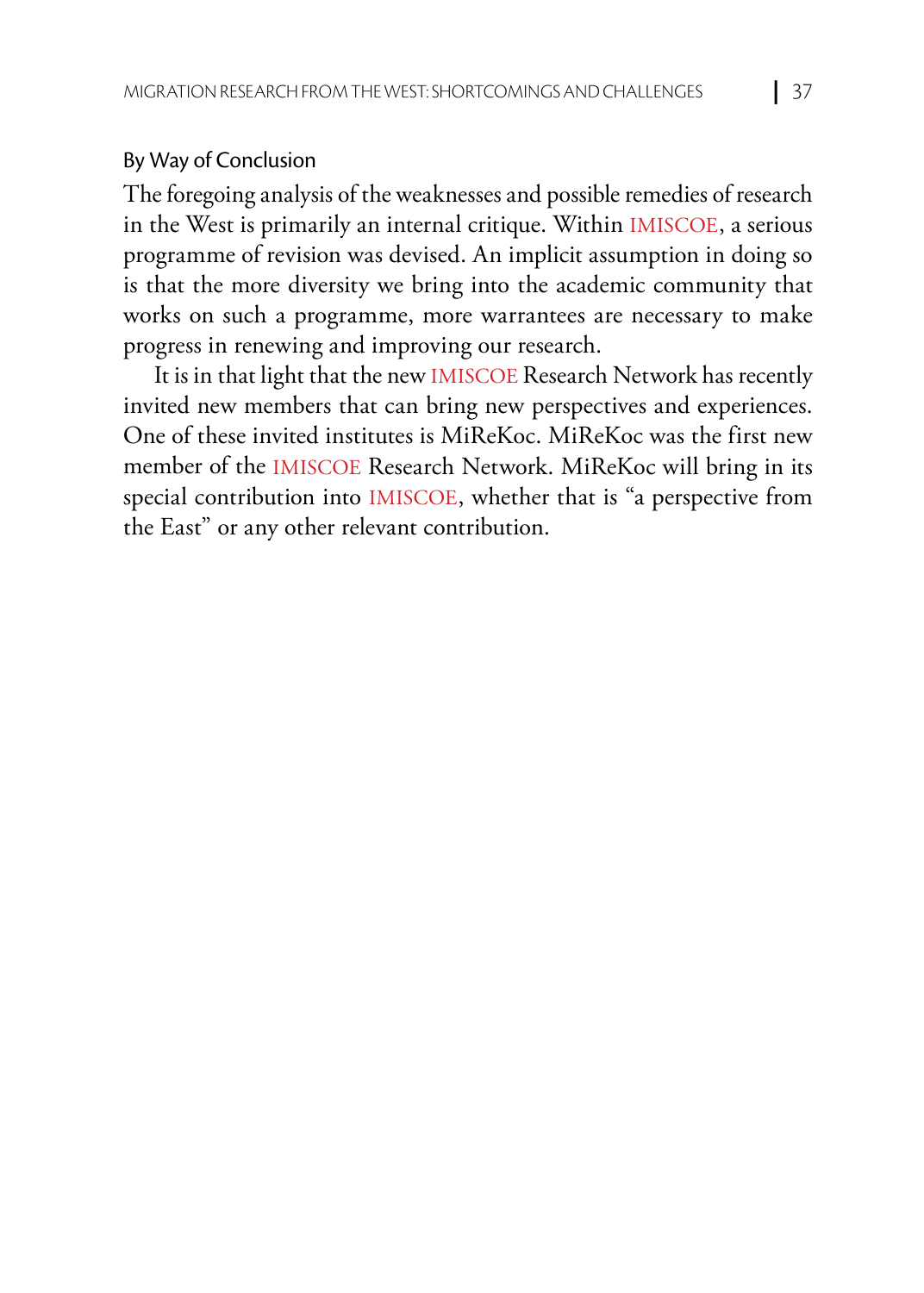#### By Way of Conclusion

The foregoing analysis of the weaknesses and possible remedies of research in the West is primarily an internal critique. Within IMISCOE, a serious programme of revision was devised. An implicit assumption in doing so is that the more diversity we bring into the academic community that works on such a programme, more warrantees are necessary to make progress in renewing and improving our research.

It is in that light that the new IMISCOE Research Network has recently invited new members that can bring new perspectives and experiences. One of these invited institutes is MiReKoc. MiReKoc was the first new member of the IMISCOE Research Network. MiReKoc will bring in its special contribution into IMISCOE, whether that is "a perspective from the East" or any other relevant contribution.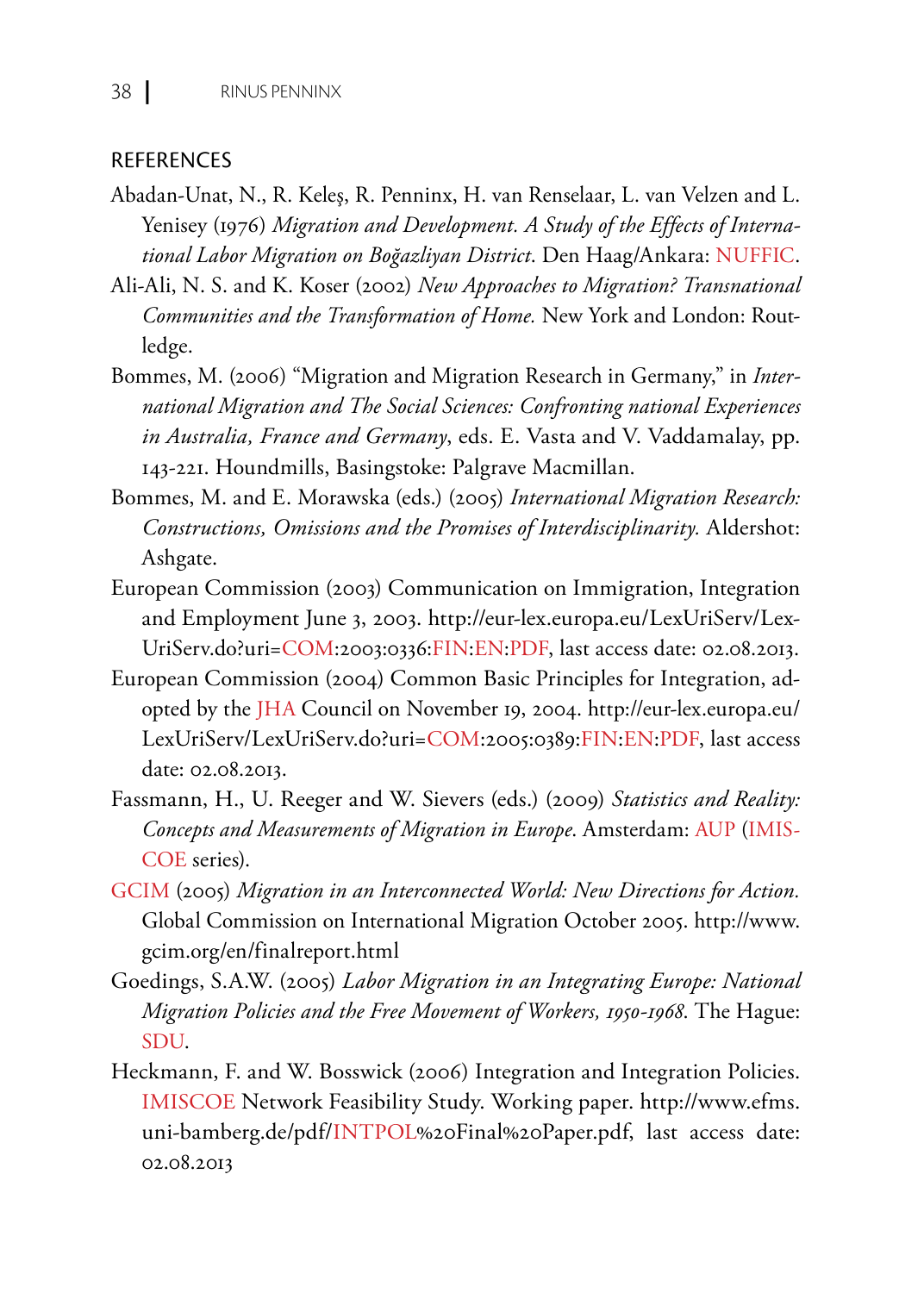#### **REFERENCES**

- Abadan-Unat, N., R. Keleş, R. Penninx, H. van Renselaar, L. van Velzen and L. Yenisey (1976) *Migration and Development. A Study of the Effects of International Labor Migration on Boğazliyan District*. Den Haag/Ankara: NUFFIC.
- Ali-Ali, N. S. and K. Koser (2002) *New Approaches to Migration? Transnational Communities and the Transformation of Home.* New York and London: Routledge.
- Bommes, M. (2006) "Migration and Migration Research in Germany," in *International Migration and The Social Sciences: Confronting national Experiences in Australia, France and Germany*, eds. E. Vasta and V. Vaddamalay, pp. 143-221. Houndmills, Basingstoke: Palgrave Macmillan.
- Bommes, M. and E. Morawska (eds.) (2005) *International Migration Research: Constructions, Omissions and the Promises of Interdisciplinarity.* Aldershot: Ashgate.
- European Commission (2003) Communication on Immigration, Integration and Employment June 3, 2003. http://eur-lex.europa.eu/LexUriServ/Lex-UriServ.do?uri=COM:2003:0336:FIN:EN:PDF, last access date: 02.08.2013.
- European Commission (2004) Common Basic Principles for Integration, adopted by the JHA Council on November 19, 2004. http://eur-lex.europa.eu/ LexUriServ/LexUriServ.do?uri=COM:2005:0389:FIN:EN:PDF, last access date: 02.08.2013.
- Fassmann, H., U. Reeger and W. Sievers (eds.) (2009) *Statistics and Reality: Concepts and Measurements of Migration in Europe*. Amsterdam: AUP (IMIS-COE series).
- GCIM (2005) *Migration in an Interconnected World: New Directions for Action.* Global Commission on International Migration October 2005. http://www. gcim.org/en/finalreport.html
- Goedings, S.A.W. (2005) *Labor Migration in an Integrating Europe: National Migration Policies and the Free Movement of Workers, 1950-1968*. The Hague: SDU.
- Heckmann, F. and W. Bosswick (2006) Integration and Integration Policies. IMISCOE Network Feasibility Study. Working paper. http://www.efms. uni-bamberg.de/pdf/INTPOL%20Final%20Paper.pdf, last access date: 02.08.2013